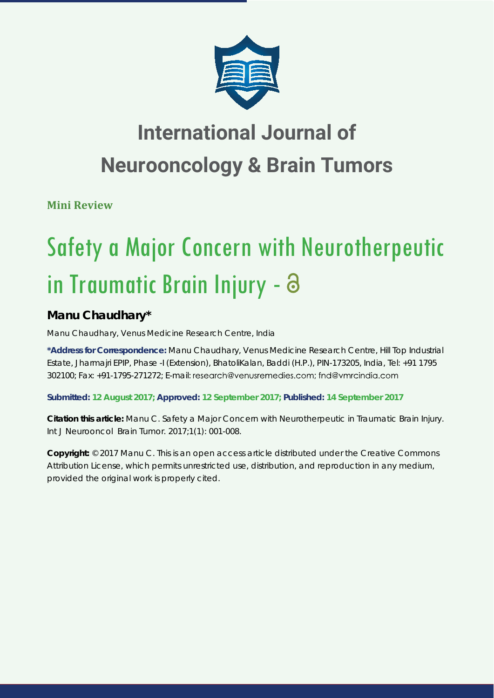

## **International Journal of Neurooncology & Brain Tumors**

**Mini Review**

# Safety a Major Concern with Neurotherpeutic in Traumatic Brain Injury -

### **Manu Chaudhary\***

*Manu Chaudhary, Venus Medicine Research Centre, India*

**\*Address for Correspondence:** Manu Chaudhary, Venus Medicine Research Centre, Hill Top Industrial Estate, Jharmajri EPIP, Phase -I (Extension), BhatoliKalan, Baddi (H.P.), PIN-173205, India, Tel: +91 1795 302100; Fax: +91-1795-271272; E-mail:

**Submitted: 12 August 2017; Approved: 12 September 2017; Published: 14 September 2017**

**Citation this article:** Manu C. Safety a Major Concern with Neurotherpeutic in Traumatic Brain Injury. Int J Neurooncol Brain Tumor. 2017;1(1): 001-008.

**Copyright:** © 2017 Manu C. This is an open access article distributed under the Creative Commons Attribution License, which permits unrestricted use, distribution, and reproduction in any medium, provided the original work is properly cited.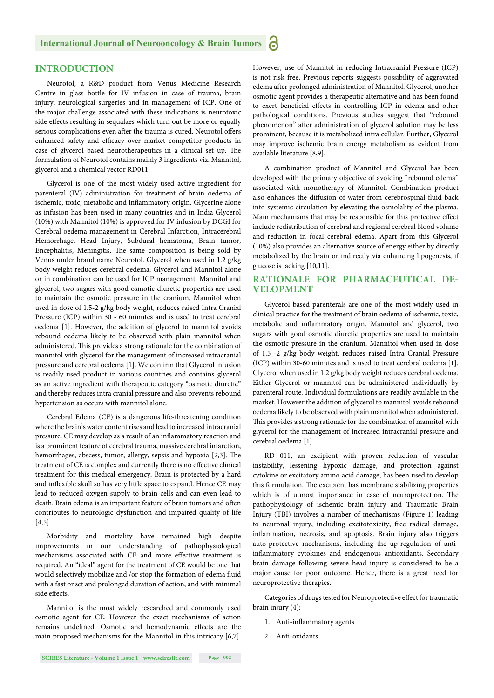#### **INTRODUCTION**

Neurotol, a R&D product from Venus Medicine Research Centre in glass bottle for IV infusion in case of trauma, brain injury, neurological surgeries and in management of ICP. One of the major challenge associated with these indications is neurotoxic side effects resulting in sequalaes which turn out be more or equally serious complications even after the trauma is cured. Neurotol offers enhanced safety and efficacy over market competitor products in case of glycerol based neurotherapeutics in a clinical set up. The formulation of Neurotol contains mainly 3 ingredients viz. Mannitol, glycerol and a chemical vector RD011.

Glycerol is one of the most widely used active ingredient for parenteral (IV) administration for treatment of brain oedema of ischemic, toxic, metabolic and inflammatory origin. Glycerine alone as infusion has been used in many countries and in India Glycerol (10%) with Mannitol (10%) is approved for IV infusion by DCGI for Cerebral oedema management in Cerebral Infarction, Intracerebral Hemorrhage, Head Injury, Subdural hematoma, Brain tumor, Encephalitis, Meningitis. The same composition is being sold by Venus under brand name Neurotol. Glycerol when used in 1.2 g/kg body weight reduces cerebral oedema. Glycerol and Mannitol alone or in combination can be used for ICP management. Mannitol and glycerol, two sugars with good osmotic diuretic properties are used to maintain the osmotic pressure in the cranium. Mannitol when used in dose of 1.5-2 g/kg body weight, reduces raised Intra Cranial Pressure (ICP) within 30 - 60 minutes and is used to treat cerebral oedema [1]. However, the addition of glycerol to mannitol avoids rebound oedema likely to be observed with plain mannitol when administered. This provides a strong rationale for the combination of mannitol with glycerol for the management of increased intracranial pressure and cerebral oedema [1]. We confirm that Glycerol infusion is readily used product in various countries and contains glycerol as an active ingredient with therapeutic category "osmotic diuretic" and thereby reduces intra cranial pressure and also prevents rebound hypertension as occurs with mannitol alone.

Cerebral Edema (CE) is a dangerous life-threatening condition where the brain's water content rises and lead to increased intracranial pressure. CE may develop as a result of an inflammatory reaction and is a prominent feature of cerebral trauma, massive cerebral infarction, hemorrhages, abscess, tumor, allergy, sepsis and hypoxia [2,3]. The treatment of CE is complex and currently there is no effective clinical treatment for this medical emergency. Brain is protected by a hard and inflexible skull so has very little space to expand. Hence CE may lead to reduced oxygen supply to brain cells and can even lead to death. Brain edema is an important feature of brain tumors and often contributes to neurologic dysfunction and impaired quality of life [4,5].

Morbidity and mortality have remained high despite improvements in our understanding of pathophysiological mechanisms associated with CE and more effective treatment is required. An "ideal" agent for the treatment of CE would be one that would selectively mobilize and /or stop the formation of edema fluid with a fast onset and prolonged duration of action, and with minimal side effects.

Mannitol is the most widely researched and commonly used osmotic agent for CE. However the exact mechanisms of action remains undefined. Osmotic and hemodynamic effects are the main proposed mechanisms for the Mannitol in this intricacy [6,7]. However, use of Mannitol in reducing Intracranial Pressure (ICP) is not risk free. Previous reports suggests possibility of aggravated edema after prolonged administration of Mannitol. Glycerol, another osmotic agent provides a therapeutic alternative and has been found to exert beneficial effects in controlling ICP in edema and other pathological conditions. Previous studies suggest that "rebound phenomenon" after administration of glycerol solution may be less prominent, because it is metabolized intra cellular. Further, Glycerol may improve ischemic brain energy metabolism as evident from available literature [8,9].

A combination product of Mannitol and Glycerol has been developed with the primary objective of avoiding "rebound edema" associated with monotherapy of Mannitol. Combination product also enhances the diffusion of water from cerebrospinal fluid back into systemic circulation by elevating the osmolality of the plasma. Main mechanisms that may be responsible for this protective effect include redistribution of cerebral and regional cerebral blood volume and reduction in focal cerebral edema. Apart from this Glycerol (10%) also provides an alternative source of energy either by directly metabolized by the brain or indirectly via enhancing lipogenesis, if glucose is lacking [10,11].

#### **RATIONALE FOR PHARMACEUTICAL DE-VELOPMENT**

Glycerol based parenterals are one of the most widely used in clinical practice for the treatment of brain oedema of ischemic, toxic, metabolic and inflammatory origin. Mannitol and glycerol, two sugars with good osmotic diuretic properties are used to maintain the osmotic pressure in the cranium. Mannitol when used in dose of 1.5 -2 g/kg body weight, reduces raised Intra Cranial Pressure (ICP) within 30-60 minutes and is used to treat cerebral oedema [1]. Glycerol when used in 1.2 g/kg body weight reduces cerebral oedema. Either Glycerol or mannitol can be administered individually by parenteral route. Individual formulations are readily available in the market. However the addition of glycerol to mannitol avoids rebound oedema likely to be observed with plain mannitol when administered. This provides a strong rationale for the combination of mannitol with glycerol for the management of increased intracranial pressure and cerebral oedema [1].

RD 011, an excipient with proven reduction of vascular instability, lessening hypoxic damage, and protection against cytokine or excitatory amino acid damage, has been used to develop this formulation. The excipient has membrane stabilizing properties which is of utmost importance in case of neuroprotection. The pathophysiology of ischemic brain injury and Traumatic Brain Injury (TBI) involves a number of mechanisms (Figure 1) leading to neuronal injury, including excitotoxicity, free radical damage, inflammation, necrosis, and apoptosis. Brain injury also triggers auto-protective mechanisms, including the up-regulation of antiinflammatory cytokines and endogenous antioxidants. Secondary brain damage following severe head injury is considered to be a major cause for poor outcome. Hence, there is a great need for neuroprotective therapies.

Categories of drugs tested for Neuroprotective effect for traumatic brain injury (4):

- 1. Anti-inflammatory agents
- 2. Anti-oxidants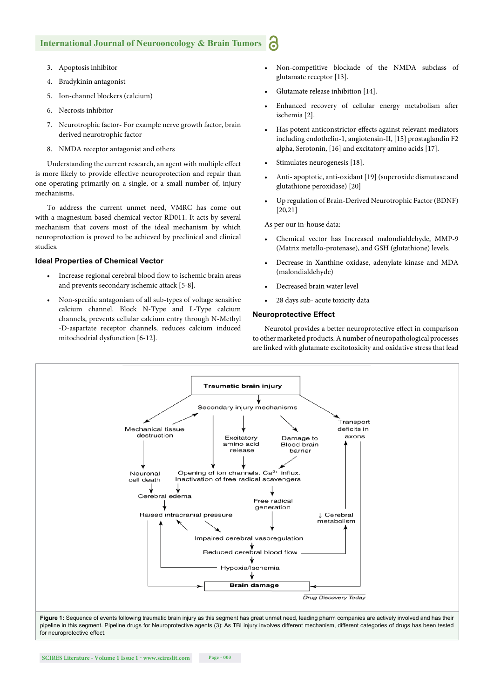#### **International Journal of Neurooncology & Brain Tumors**

- 3. Apoptosis inhibitor
- 4. Bradykinin antagonist
- 5. Ion-channel blockers (calcium)
- 6. Necrosis inhibitor
- 7. Neurotrophic factor- For example nerve growth factor, brain derived neurotrophic factor
- 8. NMDA receptor antagonist and others

Understanding the current research, an agent with multiple effect is more likely to provide effective neuroprotection and repair than one operating primarily on a single, or a small number of, injury mechanisms.

To address the current unmet need, VMRC has come out with a magnesium based chemical vector RD011. It acts by several mechanism that covers most of the ideal mechanism by which neuroprotection is proved to be achieved by preclinical and clinical studies.

#### **Ideal Properties of Chemical Vector**

- Increase regional cerebral blood flow to ischemic brain areas and prevents secondary ischemic attack [5-8].
- Non-specific antagonism of all sub-types of voltage sensitive calcium channel. Block N-Type and L-Type calcium channels, prevents cellular calcium entry through N-Methyl -D-aspartate receptor channels, reduces calcium induced mitochodrial dysfunction [6-12].
- Non-competitive blockade of the NMDA subclass of glutamate receptor [13].
- Glutamate release inhibition [14].
- Enhanced recovery of cellular energy metabolism after ischemia [2].
- Has potent anticonstrictor effects against relevant mediators including endothelin-1, angiotensin-II, [15] prostaglandin F2 alpha, Serotonin, [16] and excitatory amino acids [17].
- Stimulates neurogenesis [18].
- Anti- apoptotic, anti-oxidant [19] (superoxide dismutase and glutathione peroxidase) [20]
- Up regulation of Brain-Derived Neurotrophic Factor (BDNF) [20,21]

As per our in-house data:

- Chemical vector has Increased malondialdehyde, MMP-9 (Matrix metallo-protenase), and GSH (glutathione) levels.
- Decrease in Xanthine oxidase, adenylate kinase and MDA (malondialdehyde)
- Decreased brain water level
- 28 days sub- acute toxicity data

#### **Neuroprotective Effect**

Neurotol provides a better neuroprotective effect in comparison to other marketed products. A number of neuropathological processes are linked with glutamate excitotoxicity and oxidative stress that lead

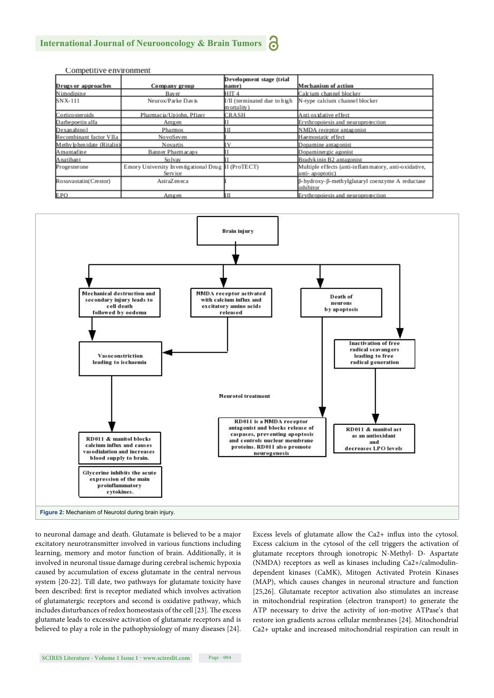#### Competitive environment

|                            |                                                               | Development stage (trial                    |                                                                         |
|----------------------------|---------------------------------------------------------------|---------------------------------------------|-------------------------------------------------------------------------|
| Drugs or approaches        | Company group                                                 | name)                                       | <b>Mechanism of action</b>                                              |
| Nimodipine                 | Baver                                                         | HIT <sub>4</sub>                            | Calcium channel blocker                                                 |
| SNX-111                    | Neurox/Parke Davis                                            | I/II (terminated due to high<br>m ortality) | N-type calcium channel blocker                                          |
| Corticosteroids            | Pharmacia/Upjohn, Pfizer                                      | CRASH                                       | Anti oxidative effect                                                   |
| Darbepoetin alfa           | Amgen                                                         |                                             | Erythropoiesis and neuroprotection                                      |
| Dexanabinol                | Pharmos                                                       | ш                                           | NMDA receptor antagonist                                                |
| Recombinant factor VIIa    | NovoSeven                                                     |                                             | Haemostatic effect                                                      |
| Methy Iphenidate (Ritalin) | Novartis                                                      |                                             | Dopamine antagonist                                                     |
| A mantad in e              | Banner Pharmacaps                                             |                                             | Dopaminergic agonist                                                    |
| Anatibant                  | Solvay                                                        |                                             | Bradykinin B2 antagonist                                                |
| Progesterone               | Emory University Investigational Drug II (ProTECT)<br>Service |                                             | Multiple effects (anti-inflammatory, anti-oxidative,<br>anti-apoptotic) |
| Rosuvastatin(Crestor)      | AstraZeneca                                                   |                                             | β-hydroxy-β-methylglutaryl coenzyme A reductase<br>inhibitor            |
| <b>EPO</b>                 | Amgen                                                         | ш                                           | Erythropoiesis and neuroprotection                                      |



to neuronal damage and death. Glutamate is believed to be a major excitatory neurotransmitter involved in various functions including learning, memory and motor function of brain. Additionally, it is involved in neuronal tissue damage during cerebral ischemic hypoxia caused by accumulation of excess glutamate in the central nervous system [20-22]. Till date, two pathways for glutamate toxicity have been described: first is receptor mediated which involves activation of glutamatergic receptors and second is oxidative pathway, which includes disturbances of redox homeostasis of the cell [23]. The excess glutamate leads to excessive activation of glutamate receptors and is believed to play a role in the pathophysiology of many diseases [24]. Excess levels of glutamate allow the  $Ca2+$  influx into the cytosol. Excess calcium in the cytosol of the cell triggers the activation of glutamate receptors through ionotropic N-Methyl- D- Aspartate (NMDA) receptors as well as kinases including Ca2+/calmodulindependent kinases (CaMK), Mitogen Activated Protein Kinases (MAP), which causes changes in neuronal structure and function [25,26]. Glutamate receptor activation also stimulates an increase in mitochondrial respiration (electron transport) to generate the ATP necessary to drive the activity of ion-motive ATPase's that restore ion gradients across cellular membranes [24]. Mitochondrial Ca2+ uptake and increased mitochondrial respiration can result in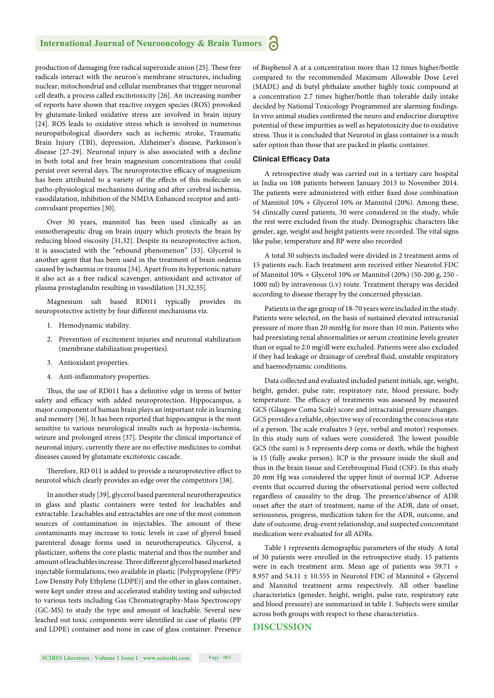production of damaging free radical superoxide anion [25]. These free radicals interact with the neuron's membrane structures, including nuclear, mitochondrial and cellular membranes that trigger neuronal cell death, a process called excitotoxicity [26]. An increasing number of reports have shown that reactive oxygen species (ROS) provoked by glutamate-linked oxidative stress are involved in brain injury [24]. ROS leads to oxidative stress which is involved in numerous neuropathological disorders such as ischemic stroke, Traumatic Brain Injury (TBI), depression, Alzheimer's disease, Parkinson's disease [27-29]. Neuronal injury is also associated with a decline in both total and free brain magnesium concentrations that could persist over several days. The neuroprotective efficacy of magnesium has been attributed to a variety of the effects of this molecule on patho-physiological mechanisms during and after cerebral ischemia, vasodilatation, inhibition of the NMDA Enhanced receptor and anticonvulsant properties [30].

Over 30 years, mannitol has been used clinically as an osmotherapeutic drug on brain injury which protects the brain by reducing blood viscosity [31,32]. Despite its neuroprotective action, it is associated with the "rebound phenomenon" [33]. Glycerol is another agent that has been used in the treatment of brain oedema caused by ischaemia or trauma [34]. Apart from its hypertonic nature it also act as a free radical scavenger, antioxidant and activator of plasma prostaglandin resulting in vasodilation [31,32,35].

Magnesium salt based RD011 typically provides its neuroprotective activity by four different mechanisms viz.

- 1. Hemodynamic stability.
- 2. Prevention of excitement injuries and neuronal stabilization (membrane stabilization properties).
- 3. Antioxidant properties.
- 4. Anti-inflammatory properties.

Thus, the use of RD011 has a definitive edge in terms of better safety and efficacy with added neuroprotection. Hippocampus, a major component of human brain plays an important role in learning and memory [36]. It has been reported that hippocampus is the most sensitive to various neurological insults such as hypoxia–ischemia, seizure and prolonged stress [37]. Despite the clinical importance of neuronal injury, currently there are no effective medicines to combat diseases caused by glutamate excitotoxic cascade.

Therefore, RD 011 is added to provide a neuroprotective effect to neurotol which clearly provides an edge over the competitors [38].

In another study [39], glycerol based parenteral neurotherapeutics in glass and plastic containers were tested for leachables and extractable. Leachables and extractables are one of the most common sources of contamination in injectables. The amount of these contaminants may increase to toxic levels in case of glyerol based parenteral dosage forms used in neurotherapeutics. Glycerol, a plasticizer, softens the core plastic material and thus the number and amount of leachables increase. Three different glycerol based marketed injectable formulations, two available in plastic [Polypropylene (PP)/ Low Density Poly Ethylene (LDPE)] and the other in glass container, were kept under stress and accelerated stability testing and subjected to various tests including Gas Chromatography-Mass Spectroscopy (GC-MS) to study the type and amount of leachable. Several new leached out toxic components were identified in case of plastic (PP and LDPE) container and none in case of glass container. Presence of Bisphenol A at a concentration more than 12 times higher/bottle compared to the recommended Maximum Allowable Dose Level (MADL) and di butyl phthalate another highly toxic compound at a concentration 2.7 times higher/bottle than tolerable daily intake decided by National Toxicology Programmed are alarming findings. In vivo animal studies confirmed the neuro and endocrine disruptive potential of these impurities as well as hepatotoxicity due to oxidative stress. Thus it is concluded that Neurotol in glass container is a much safer option than those that are packed in plastic container.

#### **Clinical Efficacy Data**

A retrospective study was carried out in a tertiary care hospital in India on 108 patients between January 2013 to November 2014. The patients were administered with either fixed dose combination of Mannitol 10% + Glycerol 10% or Mannitol (20%). Among these, 54 clinically cured patients, 30 were considered in the study, while the rest were excluded from the study. Demographic characters like gender, age, weight and height patients were recorded. The vital signs like pulse, temperature and BP were also recorded

A total 30 subjects included were divided in 2 treatment arms of 15 patients each. Each treatment arm received either Neurotol FDC of Mannitol 10% + Glycerol 10% or Mannitol (20%) (50-200 g, 250 - 1000 ml) by intravenous (i.v) route. Treatment therapy was decided according to disease therapy by the concerned physician.

Patients in the age group of 18-70 years were included in the study. Patients were selected, on the basis of sustained elevated intracranial pressure of more than 20 mmHg for more than 10 min. Patients who had preexisting renal abnormalities or serum creatinine levels greater than or equal to 2.0 mg/dl were excluded. Patients were also excluded if they had leakage or drainage of cerebral fluid, unstable respiratory and haemodynamic conditions.

Data collected and evaluated included patient initials, age, weight, height, gender, pulse rate, respiratory rate, blood pressure, body temperature. The efficacy of treatments was assessed by measured GCS (Glasgow Coma Scale) score and intracranial pressure changes. GCS provides a reliable, objective way of recording the conscious state of a person. The scale evaluates 3 (eye, verbal and motor) responses. In this study sum of values were considered. The lowest possible GCS (the sum) is 3 represents deep coma or death, while the highest is 15 (fully awake person). ICP is the pressure inside the skull and thus in the brain tissue and Cerebrospinal Fluid (CSF). In this study 20 mm Hg was considered the upper limit of normal ICP. Adverse events that occurred during the observational period were collected regardless of causality to the drug. The presence/absence of ADR onset after the start of treatment, name of the ADR, date of onset, seriousness, progress, medication taken for the ADR, outcome, and date of outcome, drug-event relationship, and suspected concomitant medication were evaluated for all ADRs.

Table 1 represents demographic parameters of the study. A total of 30 patients were enrolled in the retrospective study. 15 patients were in each treatment arm. Mean age of patients was 59.71 + 8.957 and 54.11  $\pm$  10.555 in Neurotol FDC of Mannitol + Glycerol and Mannitol treatment arms respectively. All other baseline characteristics (geneder, height, weight, pulse rate, respiratory rate and blood pressure) are summarized in table 1. Subjects were similar across both groups with respect to these characteristics.

#### **DISCUSSION**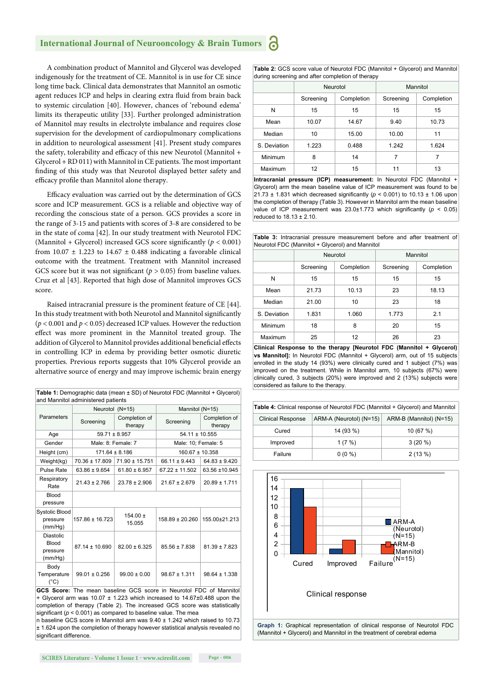#### **International Journal of Neurooncology & Brain Tumors**

A combination product of Mannitol and Glycerol was developed indigenously for the treatment of CE. Mannitol is in use for CE since long time back. Clinical data demonstrates that Mannitol an osmotic agent reduces ICP and helps in clearing extra fluid from brain back to systemic circulation [40]. However, chances of 'rebound edema' limits its therapeutic utility [33]. Further prolonged administration of Mannitol may results in electrolyte imbalance and requires close supervision for the development of cardiopulmonary complications in addition to neurological assessment [41]. Present study compares the safety, tolerability and efficacy of this new Neurotol (Mannitol +  $Glycerol + RD 011$ ) with Mannitol in CE patients. The most important finding of this study was that Neurotol displayed better safety and efficacy profile than Mannitol alone therapy.

Efficacy evaluation was carried out by the determination of GCS score and ICP measurement. GCS is a reliable and objective way of recording the conscious state of a person. GCS provides a score in the range of 3-15 and patients with scores of 3-8 are considered to be in the state of coma [42]. In our study treatment with Neurotol FDC (Mannitol + Glycerol) increased GCS score significantly ( $p < 0.001$ ) from  $10.07 \pm 1.223$  to  $14.67 \pm 0.488$  indicating a favorable clinical outcome with the treatment. Treatment with Mannitol increased GCS score but it was not significant ( $p > 0.05$ ) from baseline values. Cruz et al [43]. Reported that high dose of Mannitol improves GCS score.

Raised intracranial pressure is the prominent feature of CE [44]. In this study treatment with both Neurotol and Mannitol significantly (*p* < 0.001 and *p* < 0.05) decreased ICP values. However the reduction effect was more prominent in the Mannitol treated group. The addition of Glycerol to Mannitol provides additional beneficial effects in controlling ICP in edema by providing better osmotic diuretic properties. Previous reports suggests that 10% Glycerol provide an alternative source of energy and may improve ischemic brain energy

|                                                         | and Mannitol administered patients |                          | <b>Table 1:</b> Demographic data (mean $\pm$ SD) of Neurotol FDC (Mannitol $+$ Glycerol) |                          |
|---------------------------------------------------------|------------------------------------|--------------------------|------------------------------------------------------------------------------------------|--------------------------|
| Parameters                                              | Neurotol (N=15)                    |                          | Mannitol (N=15)                                                                          |                          |
|                                                         | Screening                          | Completion of<br>therapy | Screening                                                                                | Completion of<br>therapy |
| Age                                                     | $59.71 \pm 8.957$                  |                          | $54.11 \pm 10.555$                                                                       |                          |
| Gender                                                  | Male: 8: Female: 7                 |                          | Male: 10; Female: 5                                                                      |                          |
| Height (cm)                                             | $171.64 \pm 8.186$                 |                          | 160.67 ± 10.358                                                                          |                          |
| Weight(kg)                                              | 70.36 ± 17.809                     | 71.90 ± 15.751           | $66.11 \pm 9.443$                                                                        | $64.83 \pm 9.420$        |
| Pulse Rate                                              | $63.86 \pm 9.654$                  | $61.80 \pm 6.957$        | 67.22 ± 11.502                                                                           | 63.56 ±10.945            |
| Respiratory<br>Rate                                     | $21.43 \pm 2.766$                  | $23.78 \pm 2.906$        | $21.67 \pm 2.679$                                                                        | $20.89 \pm 1.711$        |
| Blood<br>pressure                                       |                                    |                          |                                                                                          |                          |
| <b>Systolic Blood</b><br>pressure<br>(mm/Hg)            | 157.86 ± 16.723                    | $154.00 \pm$<br>15.055   | 158.89 ± 20.260                                                                          | 155.00±21.213            |
| <b>Diastolic</b><br><b>Blood</b><br>pressure<br>(mm/Hg) | $87.14 \pm 10.690$                 | $82.00 + 6.325$          | $85.56 \pm 7.838$                                                                        | $81.39 \pm 7.823$        |
| Body<br>Temperature<br>$(^{\circ}C)$<br>~~~             | $99.01 \pm 0.256$                  | $99.00 \pm 0.00$         | $98.67 \pm 1.311$<br>The present beauting OOO come in Margariel FDO of Magazital         | $98.64 \pm 1.338$        |

**GCS Score:** The mean baseline GCS score in Neurotol FDC of Mannitol + Glycerol arm was 10.07 ± 1.223 which increased to 14.67±0.488 upon the completion of therapy (Table 2). The increased GCS score was statistically significant ( $p < 0.001$ ) as compared to baseline value. The mea

n baseline GCS score in Mannitol arm was 9.40 ± 1.242 which raised to 10.73 ± 1.624 upon the completion of therapy however statistical analysis revealed no significant difference.

**Table 2:** GCS score value of Neurotol FDC (Mannitol + Glycerol) and Mannitol during screening and after completion of therapy

|              | Neurotol  |            | Mannitol  |            |
|--------------|-----------|------------|-----------|------------|
|              | Screening | Completion | Screening | Completion |
| N            | 15        | 15         | 15        | 15         |
| Mean         | 10.07     | 14.67      | 9.40      | 10.73      |
| Median       | 10        | 15.00      | 10.00     | 11         |
| S. Deviation | 1.223     | 0.488      | 1.242     | 1.624      |
| Minimum      | 8         | 14         | 7         | 7          |
| Maximum      | 12        | 15         | 11        | 13         |

**Intracranial pressure (ICP) measurement:** In Neurotol FDC (Mannitol + Glycerol) arm the mean baseline value of ICP measurement was found to be  $21.73 \pm 1.831$  which decreased significantly ( $p < 0.001$ ) to 10.13  $\pm$  1.06 upon the completion of therapy (Table 3). However in Mannitol arm the mean baseline value of ICP measurement was  $23.0 \pm 1.773$  which significantly ( $p < 0.05$ ) reduced to  $18.13 \pm 2.10$ 

**Table 3:** Intracranial pressure measurement before and after treatment of Neurotol FDC (Mannitol + Glycerol) and Mannitol

|              | Neurotol  |            | Mannitol  |            |
|--------------|-----------|------------|-----------|------------|
|              | Screening | Completion | Screening | Completion |
| N            | 15        | 15         | 15        | 15         |
| Mean         | 21.73     | 10.13      | 23        | 18.13      |
| Median       | 21.00     | 10         | 23        | 18         |
| S. Deviation | 1.831     | 1.060      | 1.773     | 2.1        |
| Minimum      | 18        | 8          | 20        | 15         |
| Maximum      | 25        | 12         | 26        | 23         |

**Clinical Response to the therapy [Neurotol FDC (Mannitol + Glycerol)**  vs Mannitol]: In Neurotol FDC (Mannitol + Glycerol) arm, out of 15 subjects enrolled in the study 14 (93%) were clinically cured and 1 subject (7%) was improved on the treatment. While in Mannitol arm, 10 subjects (67%) were clinically cured, 3 subjects (20%) were improved and 2 (13%) subjects were considered as failure to the therapy.

| <b>Table 4:</b> Clinical response of Neurotol FDC (Mannitol + Glycerol) and Mannitol |                         |                         |  |
|--------------------------------------------------------------------------------------|-------------------------|-------------------------|--|
| <b>Clinical Response</b>                                                             | ARM-A (Neurotol) (N=15) | ARM-B (Mannitol) (N=15) |  |
| Cured                                                                                | 14 (93 %)               | 10(67%)                 |  |
| Improved                                                                             | 1 $(7\%$                | $3(20\%)$               |  |
| Failure                                                                              | $0(0\%)$                | $2(13\%)$               |  |

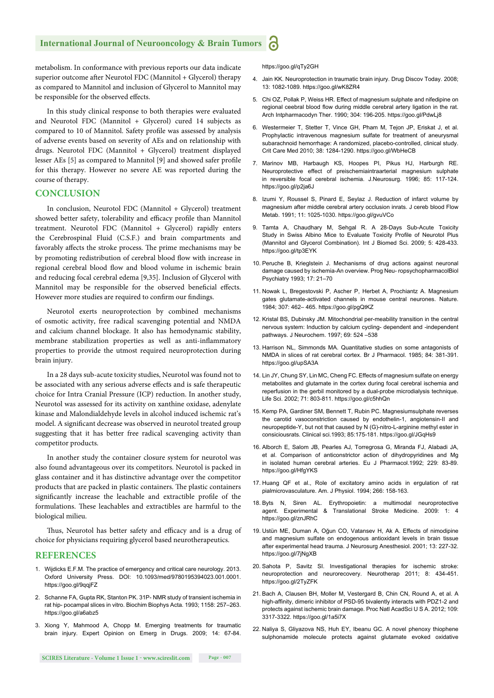metabolism. In conformance with previous reports our data indicate superior outcome after Neurotol FDC (Mannitol + Glycerol) therapy as compared to Mannitol and inclusion of Glycerol to Mannitol may be responsible for the observed effects.

In this study clinical response to both therapies were evaluated and Neurotol FDC (Mannitol + Glycerol) cured 14 subjects as compared to 10 of Mannitol. Safety profile was assessed by analysis of adverse events based on severity of AEs and on relationship with drugs. Neurotol FDC (Mannitol + Glycerol) treatment displayed lesser AEs [5] as compared to Mannitol [9] and showed safer profile for this therapy. However no severe AE was reported during the course of therapy.

#### **CONCLUSION**

In conclusion, Neurotol FDC (Mannitol + Glycerol) treatment showed better safety, tolerability and efficacy profile than Mannitol treatment. Neurotol FDC (Mannitol + Glycerol) rapidly enters the Cerebrospinal Fluid (C.S.F.) and brain compartments and favorably affects the stroke process. The prime mechanisms may be by promoting redistribution of cerebral blood flow with increase in regional cerebral blood flow and blood volume in ischemic brain and reducing focal cerebral edema [9,35]. Inclusion of Glycerol with Mannitol may be responsible for the observed beneficial effects. However more studies are required to confirm our findings.

Neurotol exerts neuroprotection by combined mechanisms of osmotic activity, free radical scavenging potential and NMDA and calcium channel blockage. It also has hemodynamic stability, membrane stabilization properties as well as anti-inflammatory properties to provide the utmost required neuroprotection during brain injury.

In a 28 days sub-acute toxicity studies, Neurotol was found not to be associated with any serious adverse effects and is safe therapeutic choice for Intra Cranial Pressure (ICP) reduction. In another study, Neurotol was assessed for its activity on xanthine oxidase, adenylate kinase and Malondialdehyde levels in alcohol induced ischemic rat's model. A significant decrease was observed in neurotol treated group suggesting that it has better free radical scavenging activity than competitor products.

In another study the container closure system for neurotol was also found advantageous over its competitors. Neurotol is packed in glass container and it has distinctive advantage over the competitor products that are packed in plastic containers. The plastic containers significantly increase the leachable and extractible profile of the formulations. These leachables and extractibles are harmful to the biological milieu.

Thus, Neurotol has better safety and efficacy and is a drug of choice for physicians requiring glycerol based neurotherapeutics.

#### **REFERENCES**

- 1. Wijdicks E.F.M. The practice of emergency and critical care neurology. 2013. Oxford University Press. DOI: 10.1093/med/9780195394023.001.0001. https://goo.gl/9ggiFZ
- 2. Schanne FA, Gupta RK, Stanton PK. 31P- NMR study of transient ischemia in rat hip- pocampal slices in vitro. Biochim Biophys Acta. 1993; 1158: 257–263. https://goo.gl/a6abz5
- 3. Xiong Y, Mahmood A, Chopp M. Emerging treatments for traumatic brain injury. Expert Opinion on Emerg in Drugs. 2009; 14: 67-84.

https://goo.gl/qTy2GH

- 4. Jain KK. Neuroprotection in traumatic brain injury. Drug Discov Today. 2008; 13: 1082-1089. https://goo.gl/wK8ZR4
- 5. Chi OZ, Pollak P, Weiss HR. Effect of magnesium sulphate and nifedipine on regional ceebral blood flow during middle cerebral artery ligation in the rat. Arch Intpharmacodyn Ther. 1990; 304: 196-205. https://goo.gl/PdwLj8
- 6. Westermeier T, Stetter T, Vince GH, Pham M, Tejon JP, Eriskat J, et al. Prophylactic intravenous magnesium sulfate for treatment of aneurysmal subarachnoid hemorrhage: A randomized, placebo-controlled, clinical study. Crit Care Med 2010; 38: 1284-1290. https://goo.gl/WbHeCB
- 7. Marinov MB, Harbaugh KS, Hoopes PI, Pikus HJ, Harburgh RE. Neuroprotective effect of preischemiaintraarterial magnesium sulphate in reversible focal cerebral ischemia. J.Neurosurg. 1996; 85: 117-124. https://goo.gl/p2ja6J
- 8. Izumi Y, Roussel S, Pinard E, Seylaz J. Reduction of infarct volume by magnesium after middle cerebral artery occlusion inrats. J cereb blood Flow Metab. 1991; 11: 1025-1030. https://goo.gl/gvuVCo
- 9. Tamta A, Chaudhary M, Sehgal R. A 28-Days Sub-Acute Toxicity Study in Swiss Albino Mice to Evaluate Toxicity Profile of Neurotol Plus (Mannitol and Glycerol Combination). Int J Biomed Sci. 2009; 5: 428-433. https://goo.gl/tp3EYK
- 10. Peruche B, Krieglstein J. Mechanisms of drug actions against neuronal damage caused by ischemia-An overview. Prog Neu- ropsychopharmacolBiol Psychiatry 1993; 17: 21–70
- 11. Nowak L, Bregestovski P, Ascher P, Herbet A, Prochiantz A. Magnesium gates glutamate-activated channels in mouse central neurones. Nature. 1984; 307: 462– 465. https://goo.gl/pgQtKZ
- 12. Kristal BS, Dubinsky JM. Mitochondrial per-meability transition in the central nervous system: Induction by calcium cycling- dependent and -independent pathways. J Neurochem. 1997; 69: 524 –538
- 13. Harrison NL, Simmonds MA. Quantitative studies on some antagonists of NMDA in slices of rat cerebral cortex. Br J Pharmacol. 1985; 84: 381-391. https://goo.gl/upSA3A
- 14. Lin JY, Chung SY, Lin MC, Cheng FC. Effects of magnesium sulfate on energy metabolites and glutamate in the cortex during focal cerebral ischemia and reperfusion in the gerbil monitored by a dual-probe microdialysis technique. Life Sci. 2002; 71: 803-811. https://goo.gl/c5hhQn
- 15. Kemp PA, Gardiner SM, Bennett T, Rubin PC. Magnesiumsulphate reverses the carotid vasoconstriction caused by endothelin-1, angiotensin-II and neuropeptide-Y, but not that caused by N (G)-nitro-L-arginine methyl ester in consiciousrats. Clinical sci.1993; 85:175-181. https://goo.gl/JGqHs9
- 16. Alborch E, Salom JB, Pearles AJ, Torregrosa G, Miranda FJ, Alabadi JA, et al. Comparison of anticonstrictor action of dihydropyridines and Mg in isolated human cerebral arteries. Eu J Pharmacol.1992; 229: 83-89. https://goo.gl/HfgYKS
- 17. Huang QF et al., Role of excitatory amino acids in ergulation of rat pialmicrovasculature. Am. J Physiol. 1994; 266: 158-163.
- 18. Byts N, Siren AL. Erythropoietin: a multimodal neuroprotective agent. Experimental & Translational Stroke Medicine. 2009: 1: 4 https://goo.gl/znJRhC
- 19. Ustün ME, Duman A, Oğun CO, Vatansev H, Ak A. Effects of nimodipine and magnesium sulfate on endogenous antioxidant levels in brain tissue after experimental head trauma. J Neurosurg Anesthesiol. 2001; 13: 227-32. https://goo.gl/7jNgXB
- 20. Sahota P, Savitz SI. Investigational therapies for ischemic stroke: neuroprotection and neurorecovery. Neurotherap 2011; 8: 434-451. https://goo.gl/2TyZFK
- 21. Bach A, Clausen BH, Moller M, Vestergard B, Chin CN, Round A, et al. A high-affinity, dimeric inhibitor of PSD-95 bivalently interacts with PDZ1-2 and protects against ischemic brain damage. Proc Natl AcadSci U S A. 2012; 109: 3317-3322. https://goo.gl/1a5i7X
- 22. Naliya S, Gliyazova NS, Huh EY, Ibeanu GC. A novel phenoxy thiophene sulphonamide molecule protects against glutamate evoked oxidative